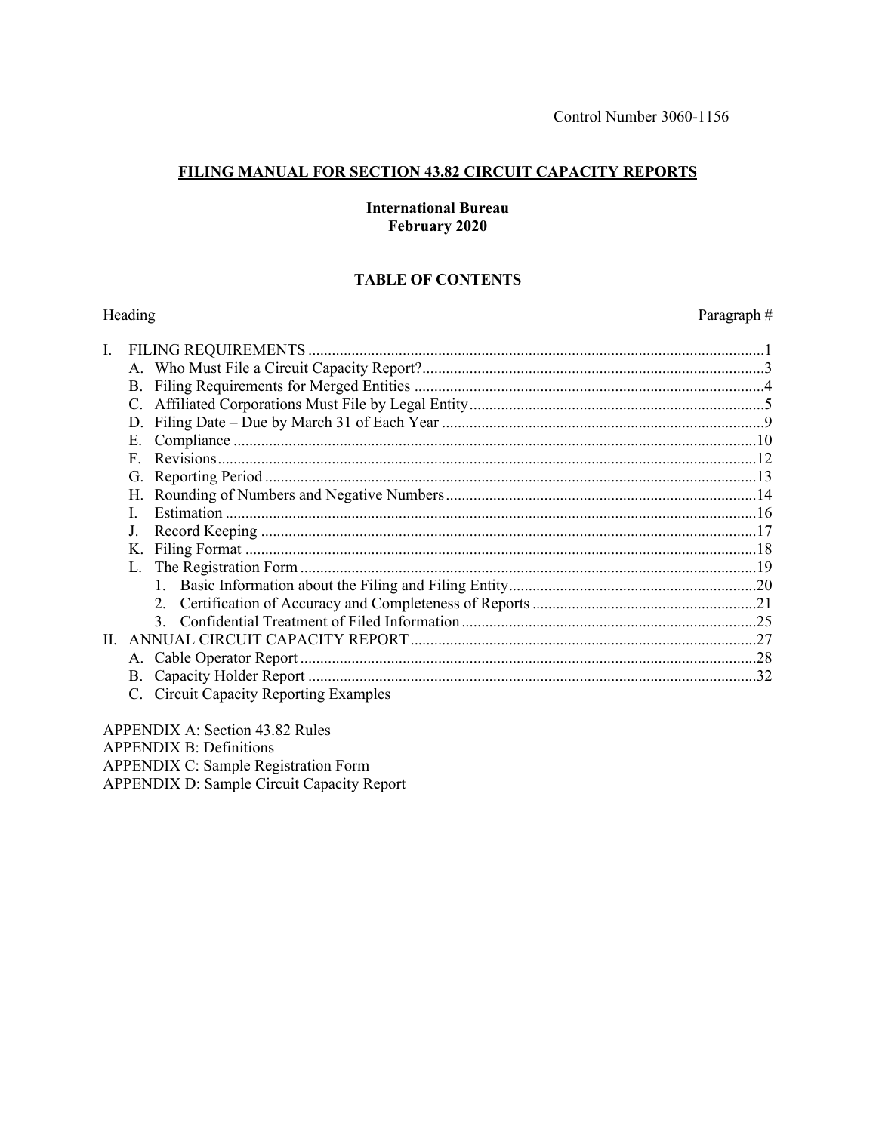Paragraph#

### FILING MANUAL FOR SECTION 43.82 CIRCUIT CAPACITY REPORTS

#### **International Bureau** February 2020

## **TABLE OF CONTENTS**

#### Heading

|     | D.                                     |  |
|-----|----------------------------------------|--|
|     | Е.                                     |  |
|     | $\mathbf{F}$                           |  |
|     |                                        |  |
|     |                                        |  |
|     |                                        |  |
|     |                                        |  |
|     |                                        |  |
|     |                                        |  |
|     |                                        |  |
|     |                                        |  |
|     |                                        |  |
| II. |                                        |  |
|     |                                        |  |
|     |                                        |  |
|     | C. Circuit Capacity Reporting Examples |  |
|     |                                        |  |

APPENDIX A: Section 43.82 Rules **APPENDIX B: Definitions** APPENDIX C: Sample Registration Form **APPENDIX D: Sample Circuit Capacity Report**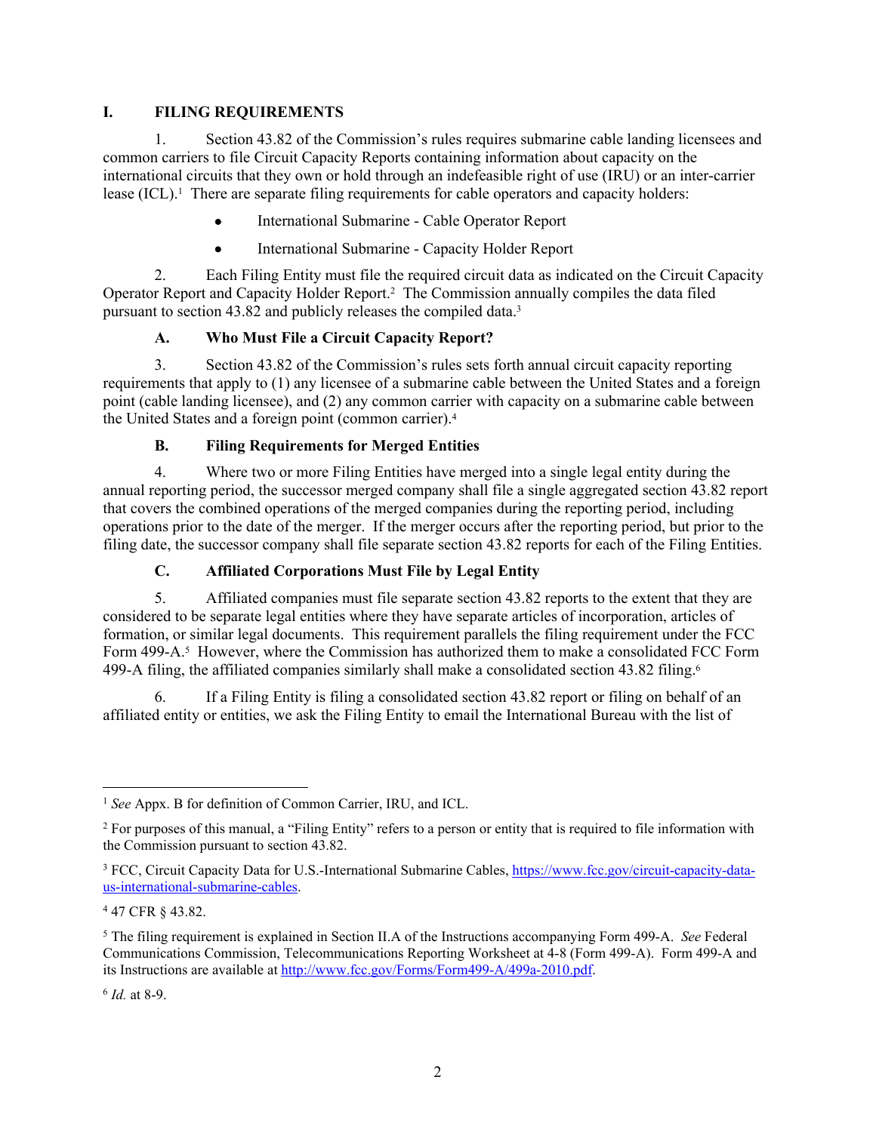#### **I. FILING REQUIREMENTS**

1. Section 43.82 of the Commission's rules requires submarine cable landing licensees and common carriers to file Circuit Capacity Reports containing information about capacity on the international circuits that they own or hold through an indefeasible right of use (IRU) or an inter-carrier lease (ICL).<sup>1</sup> There are separate filing requirements for cable operators and capacity holders:

- International Submarine Cable Operator Report
- International Submarine Capacity Holder Report

2. Each Filing Entity must file the required circuit data as indicated on the Circuit Capacity Operator Report and Capacity Holder Report.<sup>2</sup> The Commission annually compiles the data filed pursuant to section 43.82 and publicly releases the compiled data.<sup>3</sup>

### **A. Who Must File a Circuit Capacity Report?**

3. Section 43.82 of the Commission's rules sets forth annual circuit capacity reporting requirements that apply to (1) any licensee of a submarine cable between the United States and a foreign point (cable landing licensee), and (2) any common carrier with capacity on a submarine cable between the United States and a foreign point (common carrier).<sup>4</sup>

#### **B. Filing Requirements for Merged Entities**

4. Where two or more Filing Entities have merged into a single legal entity during the annual reporting period, the successor merged company shall file a single aggregated section 43.82 report that covers the combined operations of the merged companies during the reporting period, including operations prior to the date of the merger. If the merger occurs after the reporting period, but prior to the filing date, the successor company shall file separate section 43.82 reports for each of the Filing Entities.

#### **C. Affiliated Corporations Must File by Legal Entity**

5. Affiliated companies must file separate section 43.82 reports to the extent that they are considered to be separate legal entities where they have separate articles of incorporation, articles of formation, or similar legal documents. This requirement parallels the filing requirement under the FCC Form 499-A.<sup>5</sup> However, where the Commission has authorized them to make a consolidated FCC Form 499-A filing, the affiliated companies similarly shall make a consolidated section 43.82 filing.<sup>6</sup>

6. If a Filing Entity is filing a consolidated section 43.82 report or filing on behalf of an affiliated entity or entities, we ask the Filing Entity to email the International Bureau with the list of

6 *Id.* at 8-9.

<sup>1</sup> *See* Appx. B for definition of Common Carrier, IRU, and ICL.

<sup>2</sup> For purposes of this manual, a "Filing Entity" refers to a person or entity that is required to file information with the Commission pursuant to section 43.82.

<sup>&</sup>lt;sup>3</sup> FCC, Circuit Capacity Data for U.S.-International Submarine Cables, [https://www.fcc.gov/circuit-capacity-data](https://www.fcc.gov/circuit-capacity-data-us-international-submarine-cables)[us-international-submarine-cables](https://www.fcc.gov/circuit-capacity-data-us-international-submarine-cables).

<sup>4</sup> 47 CFR § 43.82.

<sup>5</sup> The filing requirement is explained in Section II.A of the Instructions accompanying Form 499-A. *See* Federal Communications Commission, Telecommunications Reporting Worksheet at 4-8 (Form 499-A). Form 499-A and its Instructions are available at [http://www.fcc.gov/Forms/Form499-A/499a-2010.pdf.](http://www.fcc.gov/Forms/Form499-A/499a-2010.pdf)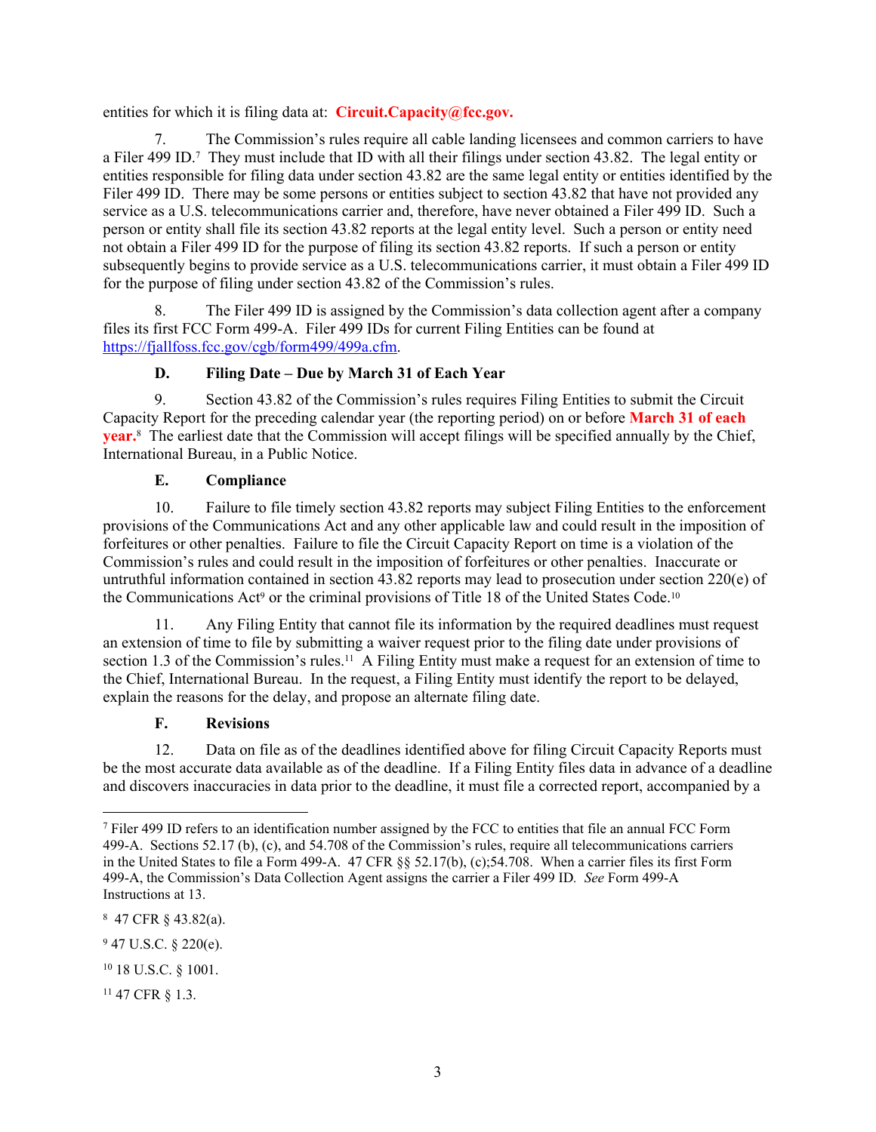entities for which it is filing data at: **Circuit.Capacity@fcc.gov.**

7. The Commission's rules require all cable landing licensees and common carriers to have a Filer 499 ID.7 They must include that ID with all their filings under section 43.82. The legal entity or entities responsible for filing data under section 43.82 are the same legal entity or entities identified by the Filer 499 ID. There may be some persons or entities subject to section 43.82 that have not provided any service as a U.S. telecommunications carrier and, therefore, have never obtained a Filer 499 ID. Such a person or entity shall file its section 43.82 reports at the legal entity level. Such a person or entity need not obtain a Filer 499 ID for the purpose of filing its section 43.82 reports. If such a person or entity subsequently begins to provide service as a U.S. telecommunications carrier, it must obtain a Filer 499 ID for the purpose of filing under section 43.82 of the Commission's rules.

8. The Filer 499 ID is assigned by the Commission's data collection agent after a company files its first FCC Form 499-A. Filer 499 IDs for current Filing Entities can be found at [https://fjallfoss.fcc.gov/cgb/form499/499a.cfm.](https://fjallfoss.fcc.gov/cgb/form499/499a.cfm)

### **D. Filing Date – Due by March 31 of Each Year**

9. Section 43.82 of the Commission's rules requires Filing Entities to submit the Circuit Capacity Report for the preceding calendar year (the reporting period) on or before **March 31 of each year.**8 The earliest date that the Commission will accept filings will be specified annually by the Chief, International Bureau, in a Public Notice.

#### **E. Compliance**

10. Failure to file timely section 43.82 reports may subject Filing Entities to the enforcement provisions of the Communications Act and any other applicable law and could result in the imposition of forfeitures or other penalties. Failure to file the Circuit Capacity Report on time is a violation of the Commission's rules and could result in the imposition of forfeitures or other penalties. Inaccurate or untruthful information contained in section 43.82 reports may lead to prosecution under section 220(e) of the Communications Act<sup>9</sup> or the criminal provisions of Title 18 of the United States Code.<sup>10</sup>

11. Any Filing Entity that cannot file its information by the required deadlines must request an extension of time to file by submitting a waiver request prior to the filing date under provisions of section 1.3 of the Commission's rules.<sup>11</sup> A Filing Entity must make a request for an extension of time to the Chief, International Bureau. In the request, a Filing Entity must identify the report to be delayed, explain the reasons for the delay, and propose an alternate filing date.

#### **F. Revisions**

12. Data on file as of the deadlines identified above for filing Circuit Capacity Reports must be the most accurate data available as of the deadline. If a Filing Entity files data in advance of a deadline and discovers inaccuracies in data prior to the deadline, it must file a corrected report, accompanied by a

<sup>8</sup> 47 CFR § 43.82(a).

<sup>7</sup> Filer 499 ID refers to an identification number assigned by the FCC to entities that file an annual FCC Form 499-A. Sections 52.17 (b), (c), and 54.708 of the Commission's rules, require all telecommunications carriers in the United States to file a Form 499-A. 47 CFR §§ 52.17(b), (c);54.708. When a carrier files its first Form 499-A, the Commission's Data Collection Agent assigns the carrier a Filer 499 ID*. See* Form 499-A Instructions at 13.

 $947$  U.S.C. § 220(e).

<sup>10</sup> 18 U.S.C. § 1001.

<sup>11</sup> 47 CFR § 1.3.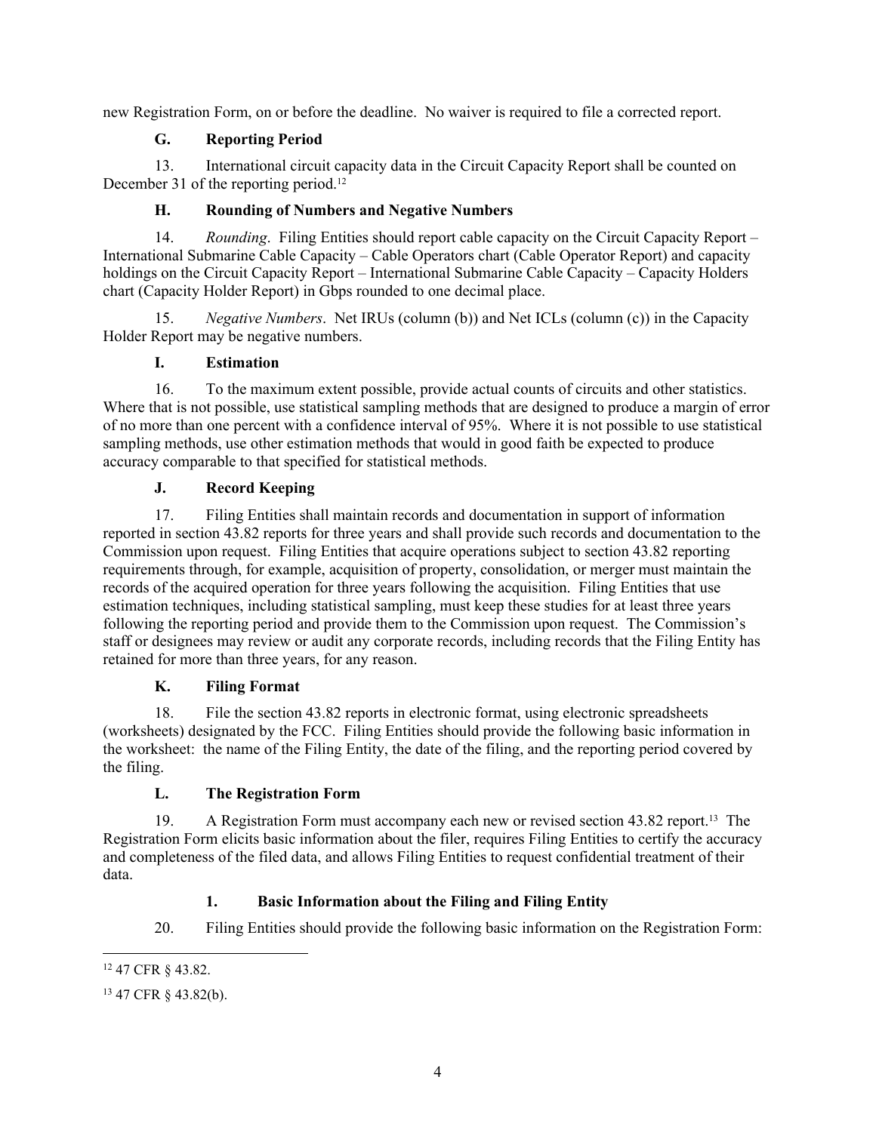new Registration Form, on or before the deadline. No waiver is required to file a corrected report.

## **G. Reporting Period**

13. International circuit capacity data in the Circuit Capacity Report shall be counted on December 31 of the reporting period.<sup>12</sup>

## **H. Rounding of Numbers and Negative Numbers**

14. *Rounding*. Filing Entities should report cable capacity on the Circuit Capacity Report – International Submarine Cable Capacity – Cable Operators chart (Cable Operator Report) and capacity holdings on the Circuit Capacity Report – International Submarine Cable Capacity – Capacity Holders chart (Capacity Holder Report) in Gbps rounded to one decimal place.

15. *Negative Numbers*. Net IRUs (column (b)) and Net ICLs (column (c)) in the Capacity Holder Report may be negative numbers.

### **I. Estimation**

16. To the maximum extent possible, provide actual counts of circuits and other statistics. Where that is not possible, use statistical sampling methods that are designed to produce a margin of error of no more than one percent with a confidence interval of 95%. Where it is not possible to use statistical sampling methods, use other estimation methods that would in good faith be expected to produce accuracy comparable to that specified for statistical methods.

# **J. Record Keeping**

17. Filing Entities shall maintain records and documentation in support of information reported in section 43.82 reports for three years and shall provide such records and documentation to the Commission upon request. Filing Entities that acquire operations subject to section 43.82 reporting requirements through, for example, acquisition of property, consolidation, or merger must maintain the records of the acquired operation for three years following the acquisition. Filing Entities that use estimation techniques, including statistical sampling, must keep these studies for at least three years following the reporting period and provide them to the Commission upon request. The Commission's staff or designees may review or audit any corporate records, including records that the Filing Entity has retained for more than three years, for any reason.

#### **K. Filing Format**

18. File the section 43.82 reports in electronic format, using electronic spreadsheets (worksheets) designated by the FCC. Filing Entities should provide the following basic information in the worksheet: the name of the Filing Entity, the date of the filing, and the reporting period covered by the filing.

# **L. The Registration Form**

19. A Registration Form must accompany each new or revised section 43.82 report.13 The Registration Form elicits basic information about the filer, requires Filing Entities to certify the accuracy and completeness of the filed data, and allows Filing Entities to request confidential treatment of their data.

# **1. Basic Information about the Filing and Filing Entity**

20. Filing Entities should provide the following basic information on the Registration Form:

<sup>12</sup> 47 CFR § 43.82.

<sup>13</sup> 47 CFR § 43.82(b).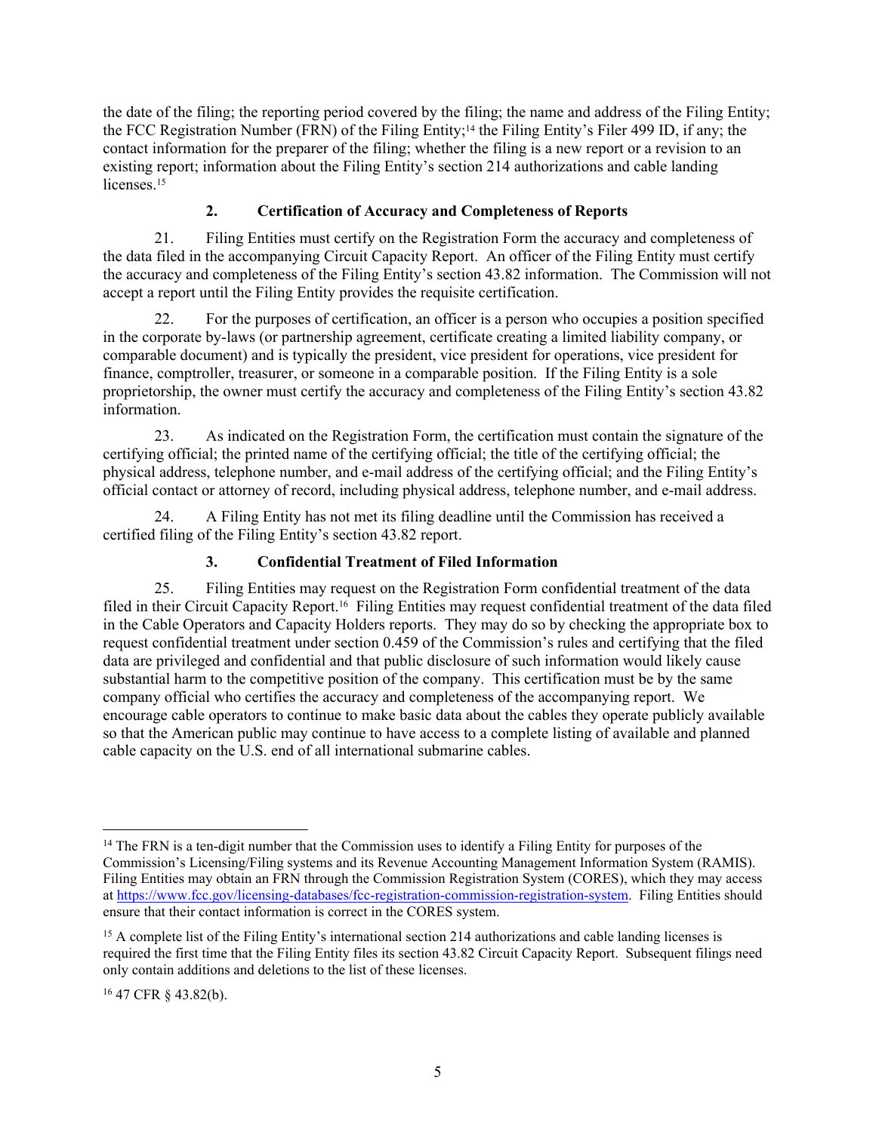the date of the filing; the reporting period covered by the filing; the name and address of the Filing Entity; the FCC Registration Number (FRN) of the Filing Entity;<sup>14</sup> the Filing Entity's Filer 499 ID, if any; the contact information for the preparer of the filing; whether the filing is a new report or a revision to an existing report; information about the Filing Entity's section 214 authorizations and cable landing licenses.<sup>15</sup>

### **2. Certification of Accuracy and Completeness of Reports**

21. Filing Entities must certify on the Registration Form the accuracy and completeness of the data filed in the accompanying Circuit Capacity Report. An officer of the Filing Entity must certify the accuracy and completeness of the Filing Entity's section 43.82 information. The Commission will not accept a report until the Filing Entity provides the requisite certification.

22. For the purposes of certification, an officer is a person who occupies a position specified in the corporate by-laws (or partnership agreement, certificate creating a limited liability company, or comparable document) and is typically the president, vice president for operations, vice president for finance, comptroller, treasurer, or someone in a comparable position. If the Filing Entity is a sole proprietorship, the owner must certify the accuracy and completeness of the Filing Entity's section 43.82 information.

23. As indicated on the Registration Form, the certification must contain the signature of the certifying official; the printed name of the certifying official; the title of the certifying official; the physical address, telephone number, and e-mail address of the certifying official; and the Filing Entity's official contact or attorney of record, including physical address, telephone number, and e-mail address.

24. A Filing Entity has not met its filing deadline until the Commission has received a certified filing of the Filing Entity's section 43.82 report.

## **3. Confidential Treatment of Filed Information**

25. Filing Entities may request on the Registration Form confidential treatment of the data filed in their Circuit Capacity Report.16 Filing Entities may request confidential treatment of the data filed in the Cable Operators and Capacity Holders reports. They may do so by checking the appropriate box to request confidential treatment under section 0.459 of the Commission's rules and certifying that the filed data are privileged and confidential and that public disclosure of such information would likely cause substantial harm to the competitive position of the company. This certification must be by the same company official who certifies the accuracy and completeness of the accompanying report. We encourage cable operators to continue to make basic data about the cables they operate publicly available so that the American public may continue to have access to a complete listing of available and planned cable capacity on the U.S. end of all international submarine cables.

16 47 CFR § 43.82(b).

<sup>&</sup>lt;sup>14</sup> The FRN is a ten-digit number that the Commission uses to identify a Filing Entity for purposes of the Commission's Licensing/Filing systems and its Revenue Accounting Management Information System (RAMIS). Filing Entities may obtain an FRN through the Commission Registration System (CORES), which they may access at [https://www.fcc.gov/licensing-databases/fcc-registration-commission-registration-system.](https://www.fcc.gov/licensing-databases/fcc-registration-commission-registration-system) Filing Entities should ensure that their contact information is correct in the CORES system.

<sup>&</sup>lt;sup>15</sup> A complete list of the Filing Entity's international section 214 authorizations and cable landing licenses is required the first time that the Filing Entity files its section 43.82 Circuit Capacity Report. Subsequent filings need only contain additions and deletions to the list of these licenses.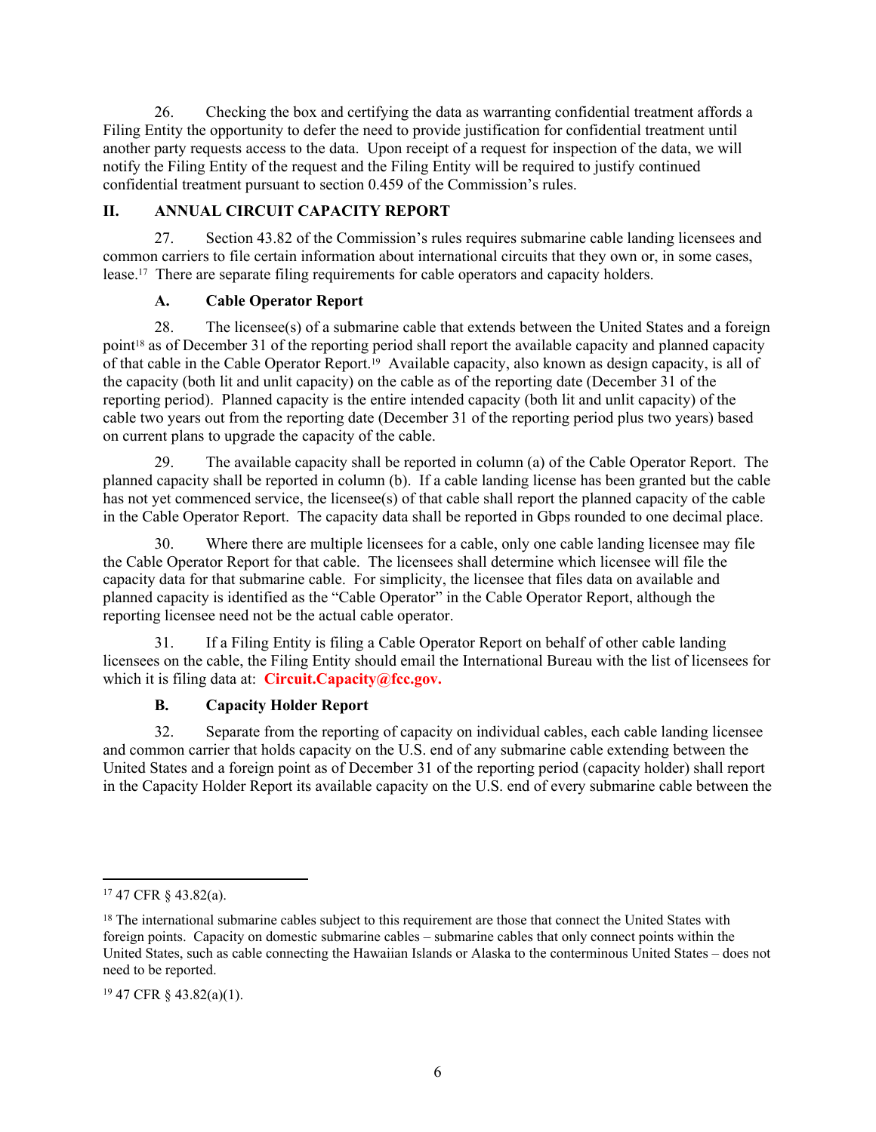26. Checking the box and certifying the data as warranting confidential treatment affords a Filing Entity the opportunity to defer the need to provide justification for confidential treatment until another party requests access to the data. Upon receipt of a request for inspection of the data, we will notify the Filing Entity of the request and the Filing Entity will be required to justify continued confidential treatment pursuant to section 0.459 of the Commission's rules.

### **II. ANNUAL CIRCUIT CAPACITY REPORT**

27. Section 43.82 of the Commission's rules requires submarine cable landing licensees and common carriers to file certain information about international circuits that they own or, in some cases, lease.17 There are separate filing requirements for cable operators and capacity holders.

### **A. Cable Operator Report**

28. The licensee(s) of a submarine cable that extends between the United States and a foreign point<sup>18</sup> as of December 31 of the reporting period shall report the available capacity and planned capacity of that cable in the Cable Operator Report.19 Available capacity, also known as design capacity, is all of the capacity (both lit and unlit capacity) on the cable as of the reporting date (December 31 of the reporting period). Planned capacity is the entire intended capacity (both lit and unlit capacity) of the cable two years out from the reporting date (December 31 of the reporting period plus two years) based on current plans to upgrade the capacity of the cable.

29. The available capacity shall be reported in column (a) of the Cable Operator Report. The planned capacity shall be reported in column (b). If a cable landing license has been granted but the cable has not yet commenced service, the licensee(s) of that cable shall report the planned capacity of the cable in the Cable Operator Report. The capacity data shall be reported in Gbps rounded to one decimal place.

30. Where there are multiple licensees for a cable, only one cable landing licensee may file the Cable Operator Report for that cable. The licensees shall determine which licensee will file the capacity data for that submarine cable. For simplicity, the licensee that files data on available and planned capacity is identified as the "Cable Operator" in the Cable Operator Report, although the reporting licensee need not be the actual cable operator.

31. If a Filing Entity is filing a Cable Operator Report on behalf of other cable landing licensees on the cable, the Filing Entity should email the International Bureau with the list of licensees for which it is filing data at: **Circuit.Capacity@fcc.gov.**

#### **B. Capacity Holder Report**

32. Separate from the reporting of capacity on individual cables, each cable landing licensee and common carrier that holds capacity on the U.S. end of any submarine cable extending between the United States and a foreign point as of December 31 of the reporting period (capacity holder) shall report in the Capacity Holder Report its available capacity on the U.S. end of every submarine cable between the

<sup>17</sup> 47 CFR § 43.82(a).

<sup>&</sup>lt;sup>18</sup> The international submarine cables subject to this requirement are those that connect the United States with foreign points. Capacity on domestic submarine cables – submarine cables that only connect points within the United States, such as cable connecting the Hawaiian Islands or Alaska to the conterminous United States – does not need to be reported.

<sup>19</sup> 47 CFR § 43.82(a)(1).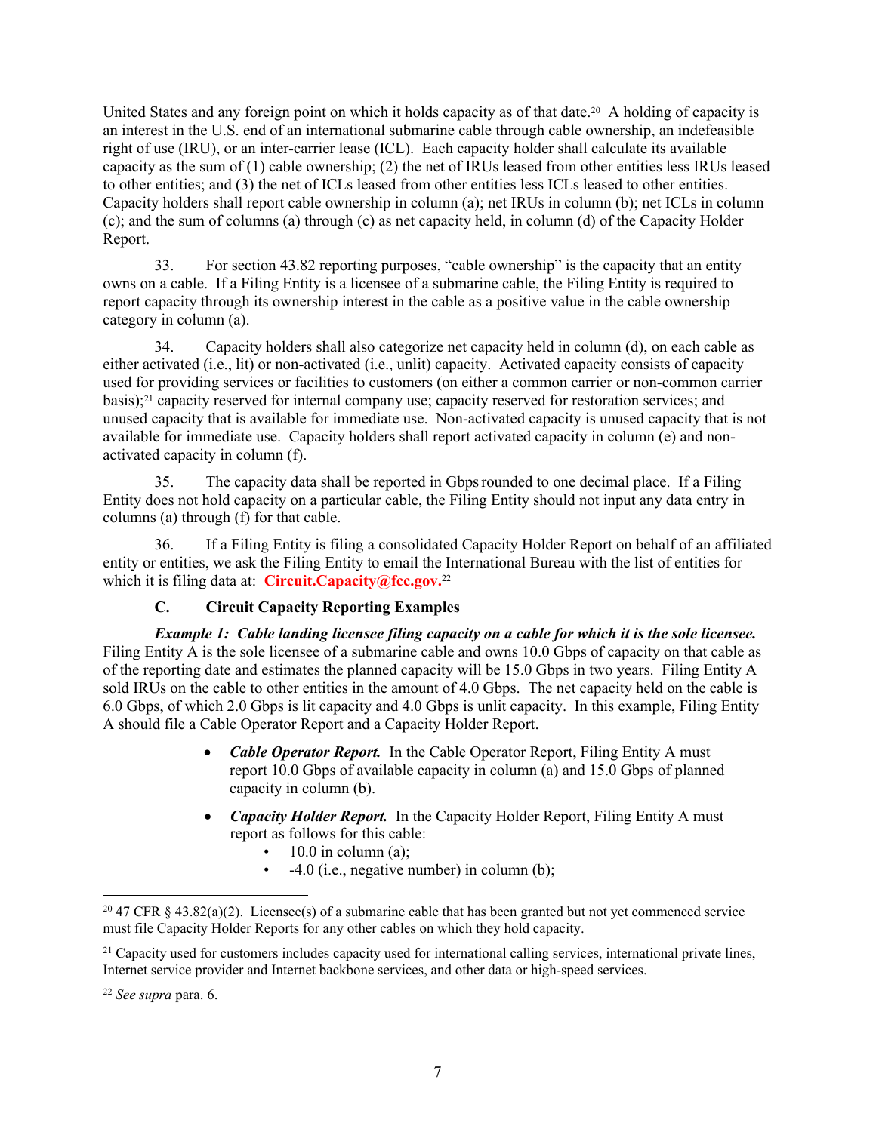United States and any foreign point on which it holds capacity as of that date.<sup>20</sup> A holding of capacity is an interest in the U.S. end of an international submarine cable through cable ownership, an indefeasible right of use (IRU), or an inter-carrier lease (ICL). Each capacity holder shall calculate its available capacity as the sum of (1) cable ownership; (2) the net of IRUs leased from other entities less IRUs leased to other entities; and (3) the net of ICLs leased from other entities less ICLs leased to other entities. Capacity holders shall report cable ownership in column (a); net IRUs in column (b); net ICLs in column (c); and the sum of columns (a) through (c) as net capacity held, in column (d) of the Capacity Holder Report.

33. For section 43.82 reporting purposes, "cable ownership" is the capacity that an entity owns on a cable. If a Filing Entity is a licensee of a submarine cable, the Filing Entity is required to report capacity through its ownership interest in the cable as a positive value in the cable ownership category in column (a).

34. Capacity holders shall also categorize net capacity held in column (d), on each cable as either activated (i.e., lit) or non-activated (i.e., unlit) capacity. Activated capacity consists of capacity used for providing services or facilities to customers (on either a common carrier or non-common carrier basis);<sup>21</sup> capacity reserved for internal company use; capacity reserved for restoration services; and unused capacity that is available for immediate use. Non-activated capacity is unused capacity that is not available for immediate use. Capacity holders shall report activated capacity in column (e) and nonactivated capacity in column (f).

35. The capacity data shall be reported in Gbpsrounded to one decimal place. If a Filing Entity does not hold capacity on a particular cable, the Filing Entity should not input any data entry in columns (a) through (f) for that cable.

36. If a Filing Entity is filing a consolidated Capacity Holder Report on behalf of an affiliated entity or entities, we ask the Filing Entity to email the International Bureau with the list of entities for which it is filing data at: **Circuit.Capacity@fcc.gov.**<sup>22</sup>

#### **C. Circuit Capacity Reporting Examples**

*Example 1: Cable landing licensee filing capacity on a cable for which it is the sole licensee.* Filing Entity A is the sole licensee of a submarine cable and owns 10.0 Gbps of capacity on that cable as of the reporting date and estimates the planned capacity will be 15.0 Gbps in two years. Filing Entity A sold IRUs on the cable to other entities in the amount of 4.0 Gbps. The net capacity held on the cable is 6.0 Gbps, of which 2.0 Gbps is lit capacity and 4.0 Gbps is unlit capacity. In this example, Filing Entity A should file a Cable Operator Report and a Capacity Holder Report.

- *Cable Operator Report.* In the Cable Operator Report, Filing Entity A must report 10.0 Gbps of available capacity in column (a) and 15.0 Gbps of planned capacity in column (b).
- *Capacity Holder Report.* In the Capacity Holder Report, Filing Entity A must report as follows for this cable:
	- $10.0$  in column (a);
	- $\cdot$  -4.0 (i.e., negative number) in column (b);

<sup>&</sup>lt;sup>20</sup> 47 CFR § 43.82(a)(2). Licensee(s) of a submarine cable that has been granted but not yet commenced service must file Capacity Holder Reports for any other cables on which they hold capacity.

<sup>&</sup>lt;sup>21</sup> Capacity used for customers includes capacity used for international calling services, international private lines, Internet service provider and Internet backbone services, and other data or high-speed services.

<sup>22</sup> *See supra* para. 6.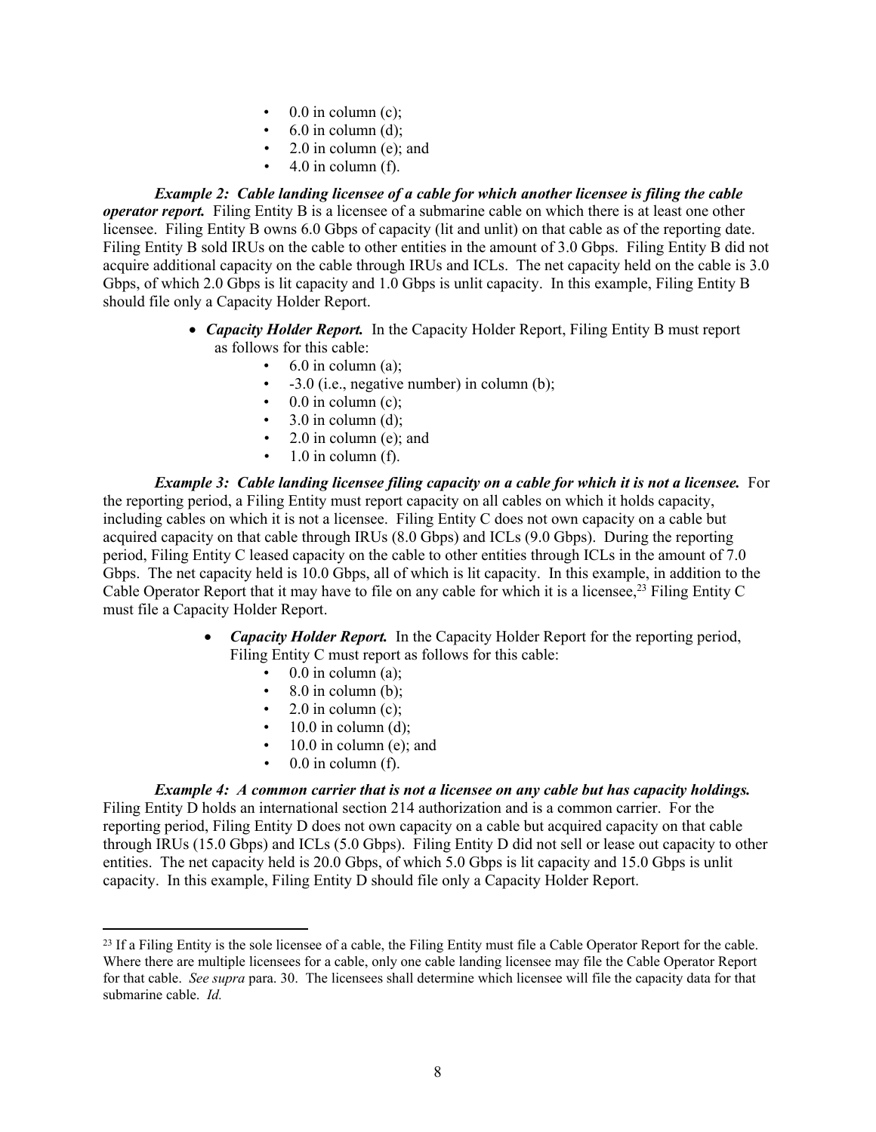- $\bullet$  0.0 in column (c);
- $6.0$  in column (d);
- $2.0$  in column (e); and
- $4.0$  in column (f).

*Example 2: Cable landing licensee of a cable for which another licensee is filing the cable operator report.* Filing Entity B is a licensee of a submarine cable on which there is at least one other licensee. Filing Entity B owns 6.0 Gbps of capacity (lit and unlit) on that cable as of the reporting date. Filing Entity B sold IRUs on the cable to other entities in the amount of 3.0 Gbps. Filing Entity B did not acquire additional capacity on the cable through IRUs and ICLs. The net capacity held on the cable is 3.0 Gbps, of which 2.0 Gbps is lit capacity and 1.0 Gbps is unlit capacity. In this example, Filing Entity B should file only a Capacity Holder Report.

- *Capacity Holder Report.* In the Capacity Holder Report, Filing Entity B must report as follows for this cable:
	- $\cdot$  6.0 in column (a):
	- -3.0 (i.e., negative number) in column (b);
	- $0.0$  in column (c);
	- $3.0$  in column (d);
	- $2.0$  in column (e); and
	- $\cdot$  1.0 in column (f).

*Example 3: Cable landing licensee filing capacity on a cable for which it is not a licensee.* **For** the reporting period, a Filing Entity must report capacity on all cables on which it holds capacity, including cables on which it is not a licensee. Filing Entity C does not own capacity on a cable but acquired capacity on that cable through IRUs (8.0 Gbps) and ICLs (9.0 Gbps). During the reporting period, Filing Entity C leased capacity on the cable to other entities through ICLs in the amount of 7.0 Gbps. The net capacity held is 10.0 Gbps, all of which is lit capacity. In this example, in addition to the Cable Operator Report that it may have to file on any cable for which it is a licensee,<sup>23</sup> Filing Entity C must file a Capacity Holder Report.

- *Capacity Holder Report.* In the Capacity Holder Report for the reporting period, Filing Entity C must report as follows for this cable:
	- $\bullet$  0.0 in column (a);
	- $8.0$  in column (b);
	- 2.0 in column (c);
	- $\cdot$  10.0 in column (d);
	- $10.0$  in column (e); and
	- $\cdot$  0.0 in column (f).

*Example 4: A common carrier that is not a licensee on any cable but has capacity holdings.*  Filing Entity D holds an international section 214 authorization and is a common carrier. For the reporting period, Filing Entity D does not own capacity on a cable but acquired capacity on that cable through IRUs (15.0 Gbps) and ICLs (5.0 Gbps). Filing Entity D did not sell or lease out capacity to other entities. The net capacity held is 20.0 Gbps, of which 5.0 Gbps is lit capacity and 15.0 Gbps is unlit capacity. In this example, Filing Entity D should file only a Capacity Holder Report.

<sup>&</sup>lt;sup>23</sup> If a Filing Entity is the sole licensee of a cable, the Filing Entity must file a Cable Operator Report for the cable. Where there are multiple licensees for a cable, only one cable landing licensee may file the Cable Operator Report for that cable. *See supra* para. 30. The licensees shall determine which licensee will file the capacity data for that submarine cable. *Id.*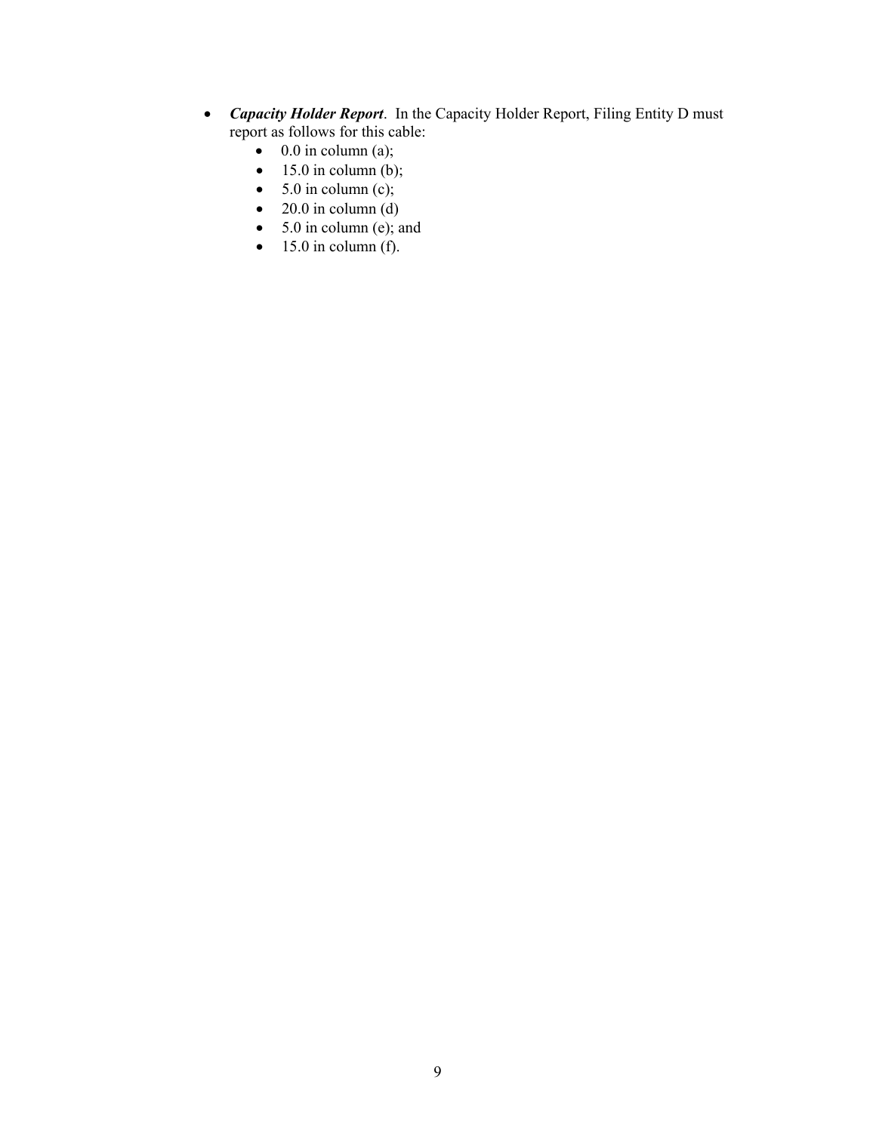- *Capacity Holder Report*. In the Capacity Holder Report, Filing Entity D must report as follows for this cable:
	- $\bullet$  0.0 in column (a);
	- $\bullet$  15.0 in column (b);
	- $\bullet$  5.0 in column (c);
	- $\bullet$  20.0 in column (d)
	- $\bullet$  5.0 in column (e); and
	- $\bullet$  15.0 in column (f).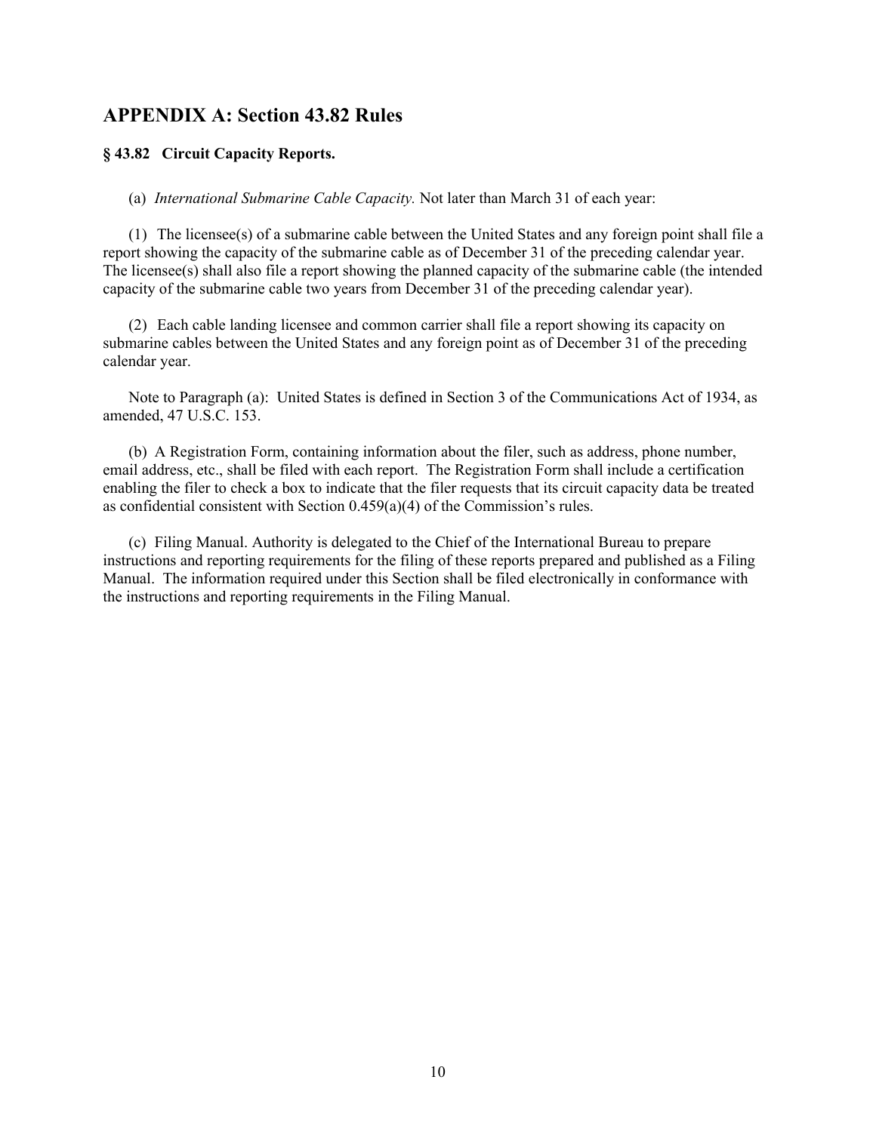# **APPENDIX A: Section 43.82 Rules**

#### **§ 43.82 Circuit Capacity Reports.**

(a) *International Submarine Cable Capacity.* Not later than March 31 of each year:

(1) The licensee(s) of a submarine cable between the United States and any foreign point shall file a report showing the capacity of the submarine cable as of December 31 of the preceding calendar year. The licensee(s) shall also file a report showing the planned capacity of the submarine cable (the intended capacity of the submarine cable two years from December 31 of the preceding calendar year).

(2) Each cable landing licensee and common carrier shall file a report showing its capacity on submarine cables between the United States and any foreign point as of December 31 of the preceding calendar year.

Note to Paragraph (a): United States is defined in Section 3 of the Communications Act of 1934, as amended, 47 U.S.C. 153.

(b) A Registration Form, containing information about the filer, such as address, phone number, email address, etc., shall be filed with each report. The Registration Form shall include a certification enabling the filer to check a box to indicate that the filer requests that its circuit capacity data be treated as confidential consistent with Section 0.459(a)(4) of the Commission's rules.

(c) Filing Manual. Authority is delegated to the Chief of the International Bureau to prepare instructions and reporting requirements for the filing of these reports prepared and published as a Filing Manual. The information required under this Section shall be filed electronically in conformance with the instructions and reporting requirements in the Filing Manual.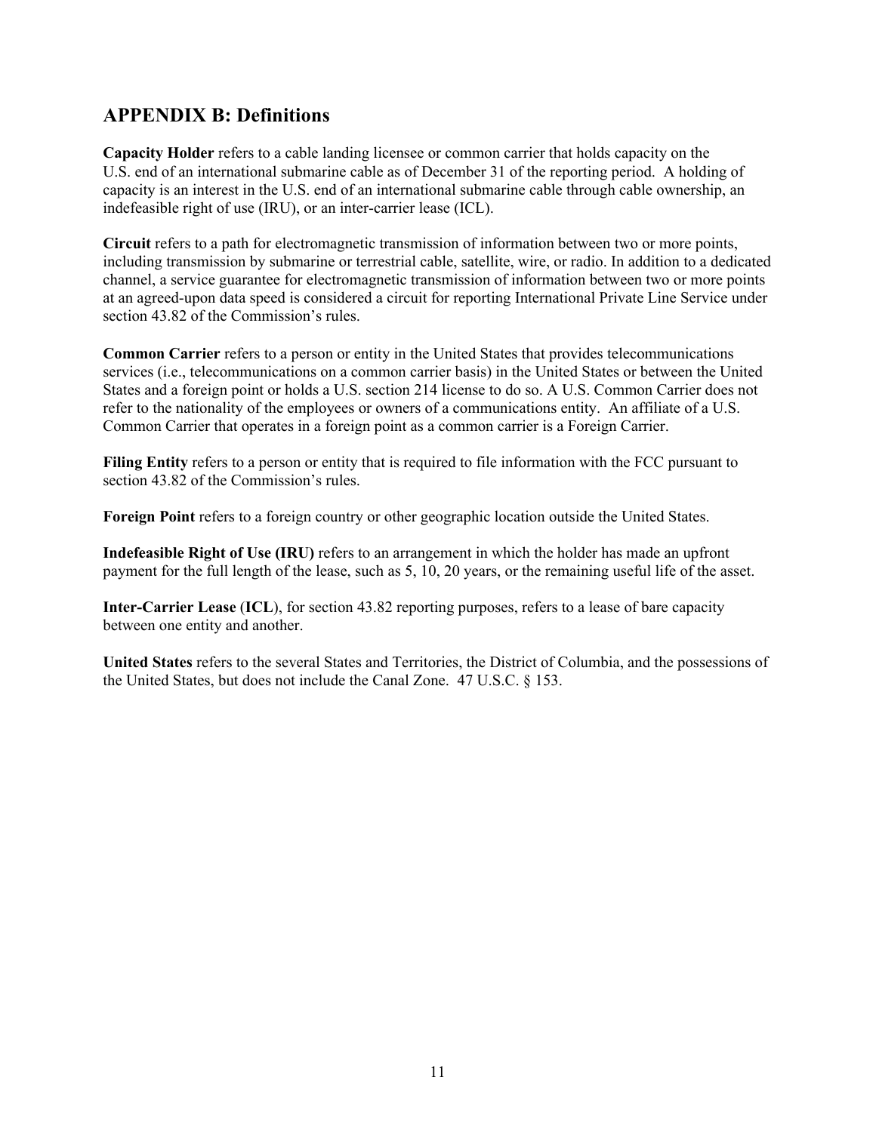# **APPENDIX B: Definitions**

**Capacity Holder** refers to a cable landing licensee or common carrier that holds capacity on the U.S. end of an international submarine cable as of December 31 of the reporting period. A holding of capacity is an interest in the U.S. end of an international submarine cable through cable ownership, an indefeasible right of use (IRU), or an inter-carrier lease (ICL).

**Circuit** refers to a path for electromagnetic transmission of information between two or more points, including transmission by submarine or terrestrial cable, satellite, wire, or radio. In addition to a dedicated channel, a service guarantee for electromagnetic transmission of information between two or more points at an agreed-upon data speed is considered a circuit for reporting International Private Line Service under section 43.82 of the Commission's rules.

**Common Carrier** refers to a person or entity in the United States that provides telecommunications services (i.e., telecommunications on a common carrier basis) in the United States or between the United States and a foreign point or holds a U.S. section 214 license to do so. A U.S. Common Carrier does not refer to the nationality of the employees or owners of a communications entity. An affiliate of a U.S. Common Carrier that operates in a foreign point as a common carrier is a Foreign Carrier.

**Filing Entity** refers to a person or entity that is required to file information with the FCC pursuant to section 43.82 of the Commission's rules.

**Foreign Point** refers to a foreign country or other geographic location outside the United States.

**Indefeasible Right of Use (IRU)** refers to an arrangement in which the holder has made an upfront payment for the full length of the lease, such as 5, 10, 20 years, or the remaining useful life of the asset.

**Inter-Carrier Lease** (**ICL**), for section 43.82 reporting purposes, refers to a lease of bare capacity between one entity and another.

**United States** refers to the several States and Territories, the District of Columbia, and the possessions of the United States, but does not include the Canal Zone. 47 U.S.C. § 153.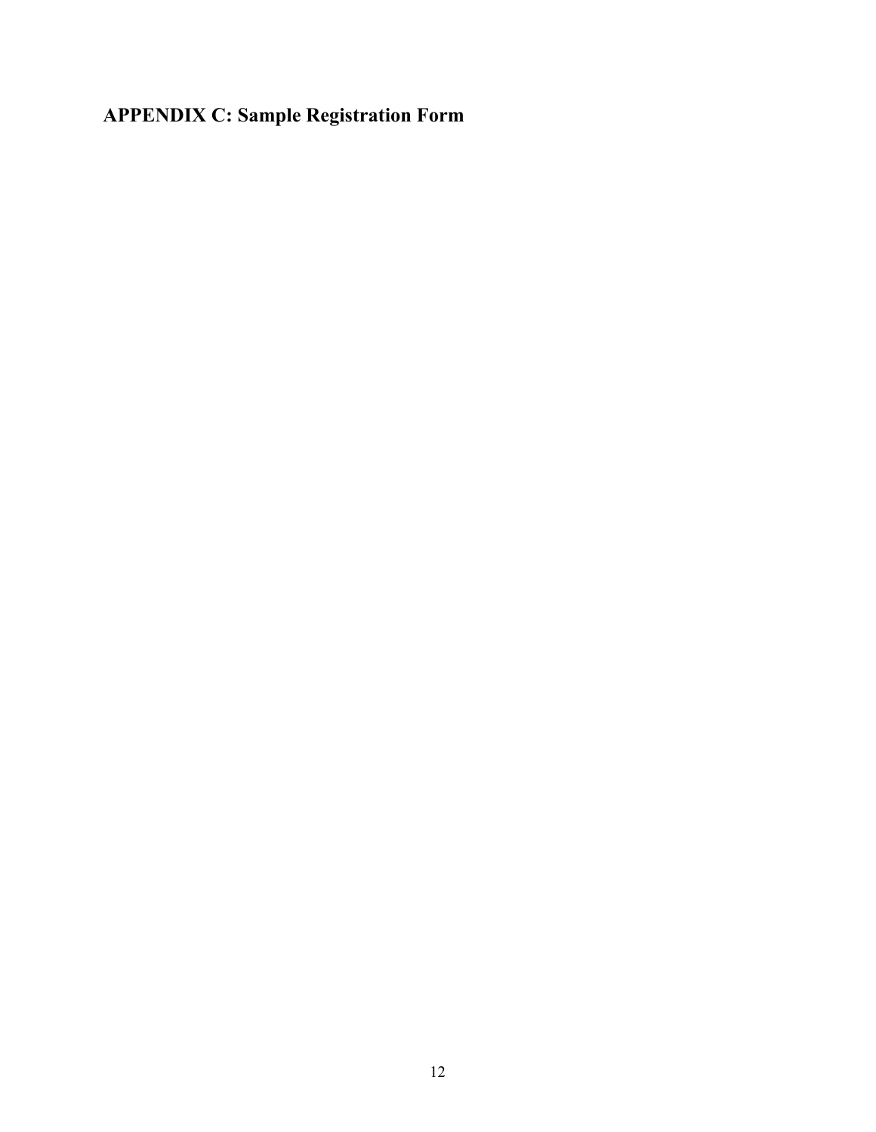# **APPENDIX C: Sample Registration Form**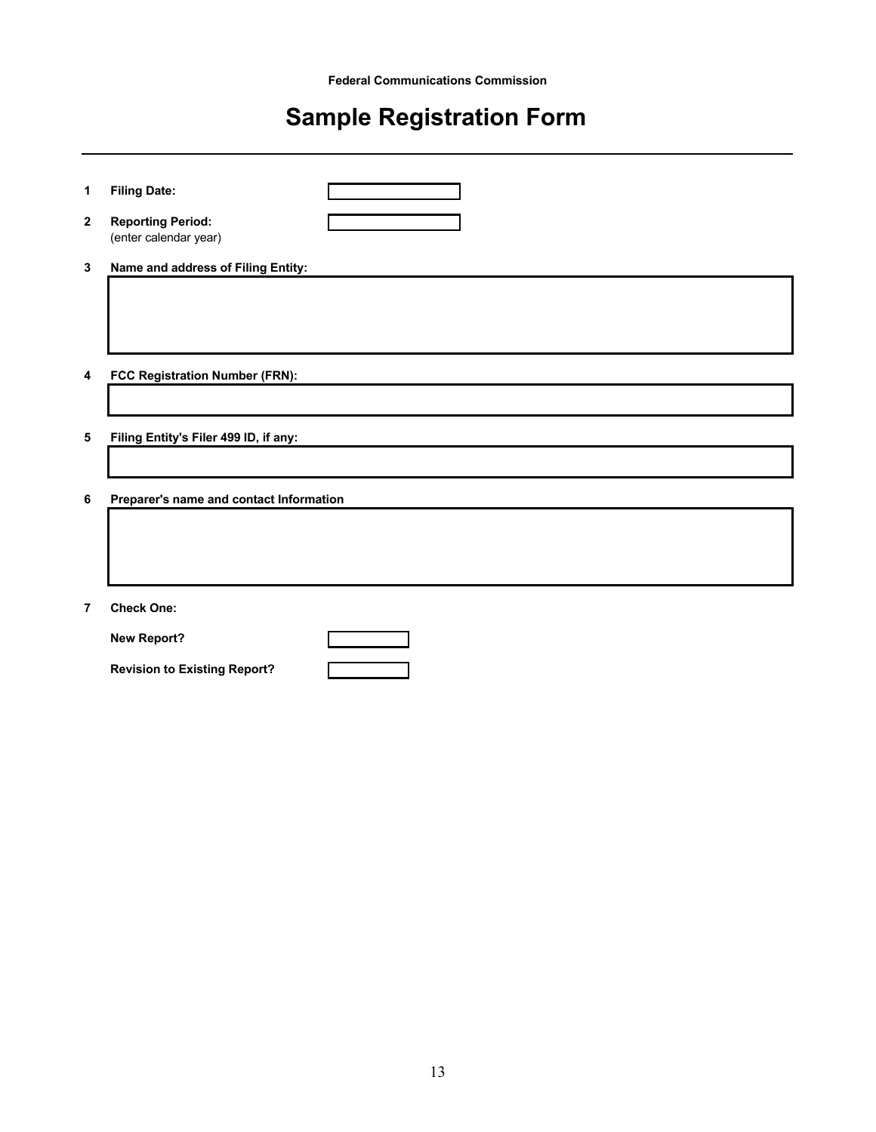# **Sample Registration Form**

| 1              | <b>Filing Date:</b>                               |
|----------------|---------------------------------------------------|
| $\mathbf{2}$   | <b>Reporting Period:</b><br>(enter calendar year) |
| 3              | Name and address of Filing Entity:                |
|                |                                                   |
|                |                                                   |
|                |                                                   |
| 4              | FCC Registration Number (FRN):                    |
|                |                                                   |
| 5              | Filing Entity's Filer 499 ID, if any:             |
|                |                                                   |
|                |                                                   |
| 6              | Preparer's name and contact Information           |
|                |                                                   |
|                |                                                   |
|                |                                                   |
| $\overline{7}$ | <b>Check One:</b>                                 |
|                | <b>New Report?</b>                                |
|                | <b>Revision to Existing Report?</b>               |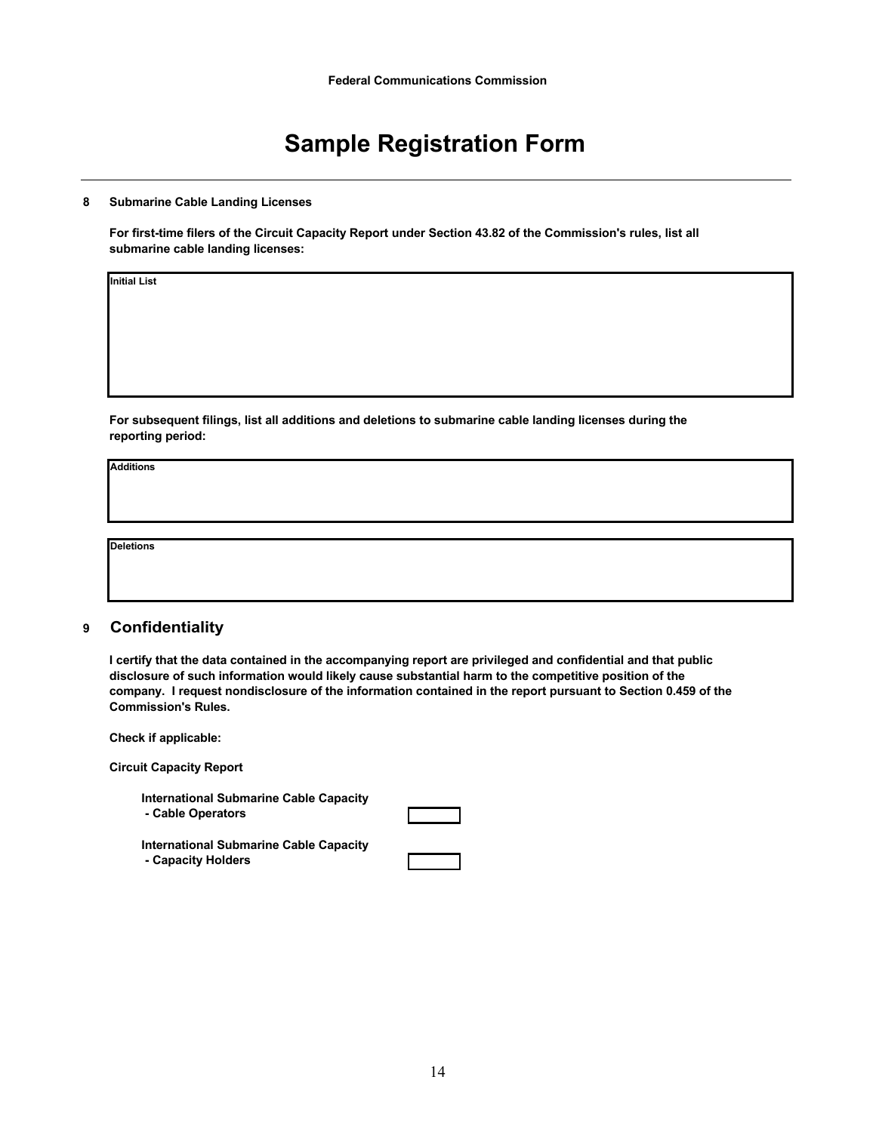# **Sample Registration Form**

#### **8 Submarine Cable Landing Licenses**

**For first-time filers of the Circuit Capacity Report under Section 43.82 of the Commission's rules, list all submarine cable landing licenses:**

**Initial List**

**For subsequent filings, list all additions and deletions to submarine cable landing licenses during the reporting period:**

**Additions**

**Deletions**

#### **9 Confidentiality**

**I certify that the data contained in the accompanying report are privileged and confidential and that public disclosure of such information would likely cause substantial harm to the competitive position of the company. I request nondisclosure of the information contained in the report pursuant to Section 0.459 of the Commission's Rules.**

| Check if applicable:                                                |  |
|---------------------------------------------------------------------|--|
| <b>Circuit Capacity Report</b>                                      |  |
| <b>International Submarine Cable Capacity</b><br>- Cable Operators  |  |
| <b>International Submarine Cable Capacity</b><br>- Capacity Holders |  |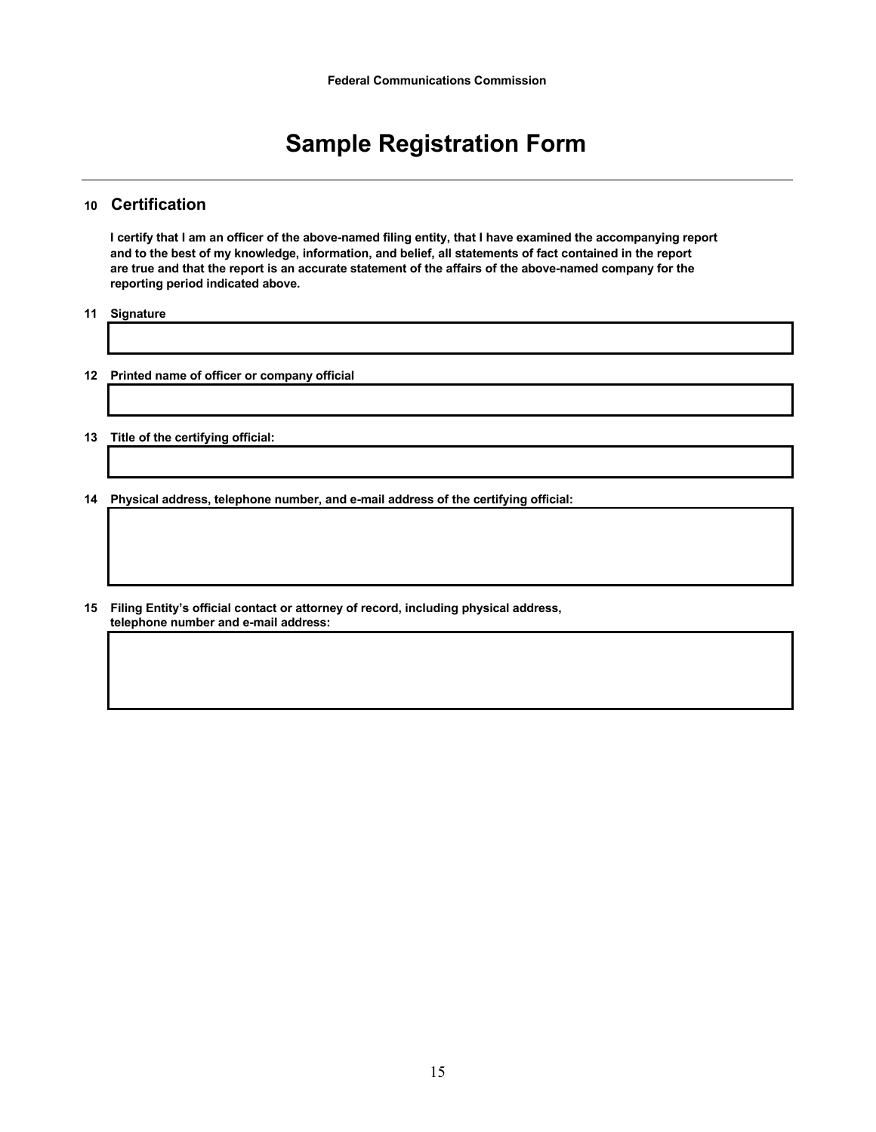# **Sample Registration Form**

#### **10 Certification**

**I certify that I am an officer of the above-named filing entity, that I have examined the accompanying report and to the best of my knowledge, information, and belief, all statements of fact contained in the report are true and that the report is an accurate statement of the affairs of the above-named company for the reporting period indicated above.**

**11 Signature**

- **12 Printed name of officer or company official**
- **13 Title of the certifying official:**
- **14 Physical address, telephone number, and e-mail address of the certifying official:**
- **15 Filing Entity's official contact or attorney of record, including physical address, telephone number and e-mail address:**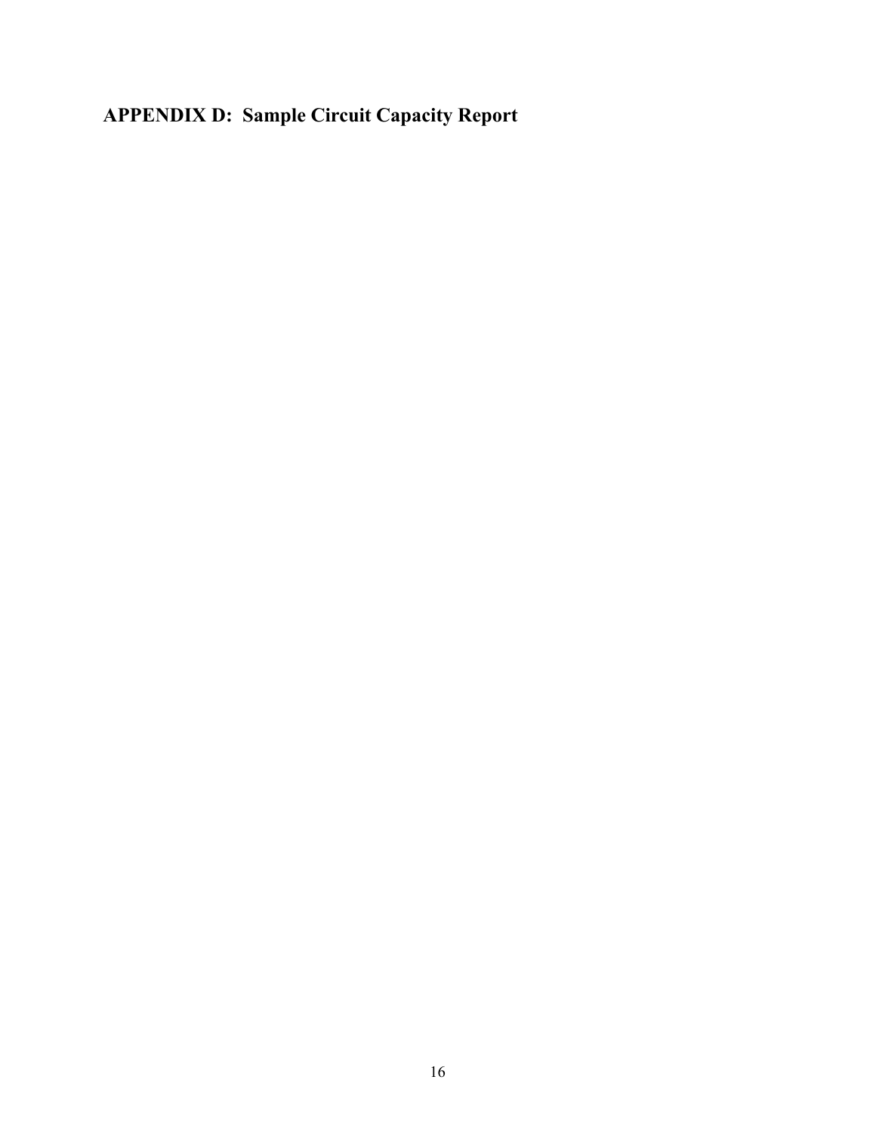# **APPENDIX D: Sample Circuit Capacity Report**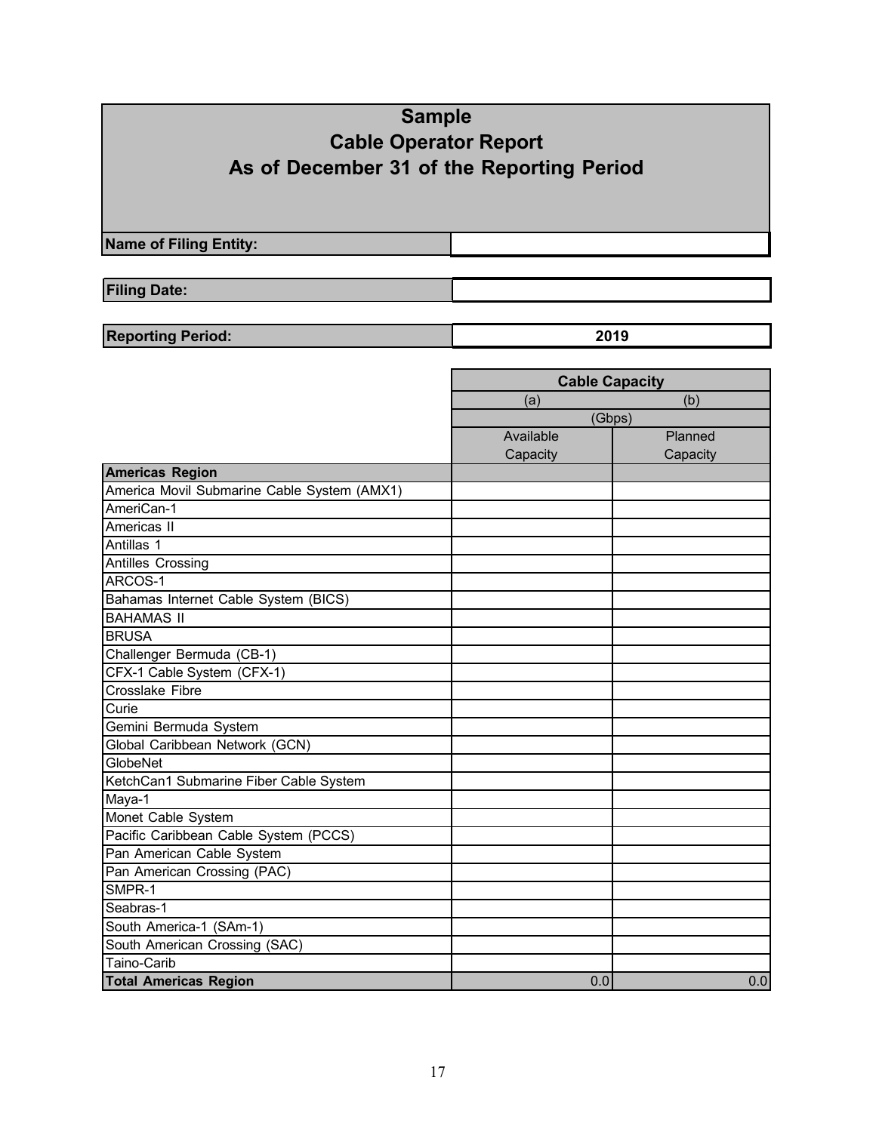# **Sample Cable Operator Report As of December 31 of the Reporting Period**

**Name of Filing Entity:**

**Filing Date:**

**Reporting Period: 2019**

|                                             | <b>Cable Capacity</b> |                  |  |  |
|---------------------------------------------|-----------------------|------------------|--|--|
|                                             | (a)                   | (b)              |  |  |
|                                             | (Gbps)                |                  |  |  |
|                                             | Available             | Planned          |  |  |
|                                             | Capacity              | Capacity         |  |  |
| <b>Americas Region</b>                      |                       |                  |  |  |
| America Movil Submarine Cable System (AMX1) |                       |                  |  |  |
| AmeriCan-1                                  |                       |                  |  |  |
| Americas II                                 |                       |                  |  |  |
| Antillas 1                                  |                       |                  |  |  |
| <b>Antilles Crossing</b>                    |                       |                  |  |  |
| ARCOS-1                                     |                       |                  |  |  |
| Bahamas Internet Cable System (BICS)        |                       |                  |  |  |
| <b>BAHAMAS II</b>                           |                       |                  |  |  |
| <b>BRUSA</b>                                |                       |                  |  |  |
| Challenger Bermuda (CB-1)                   |                       |                  |  |  |
| CFX-1 Cable System (CFX-1)                  |                       |                  |  |  |
| <b>Crosslake Fibre</b>                      |                       |                  |  |  |
| Curie                                       |                       |                  |  |  |
| Gemini Bermuda System                       |                       |                  |  |  |
| Global Caribbean Network (GCN)              |                       |                  |  |  |
| <b>GlobeNet</b>                             |                       |                  |  |  |
| KetchCan1 Submarine Fiber Cable System      |                       |                  |  |  |
| Maya-1                                      |                       |                  |  |  |
| Monet Cable System                          |                       |                  |  |  |
| Pacific Caribbean Cable System (PCCS)       |                       |                  |  |  |
| Pan American Cable System                   |                       |                  |  |  |
| Pan American Crossing (PAC)                 |                       |                  |  |  |
| SMPR-1                                      |                       |                  |  |  |
| Seabras-1                                   |                       |                  |  |  |
| South America-1 (SAm-1)                     |                       |                  |  |  |
| South American Crossing (SAC)               |                       |                  |  |  |
| Taino-Carib                                 |                       |                  |  |  |
| <b>Total Americas Region</b>                | 0.0                   | $\overline{0.0}$ |  |  |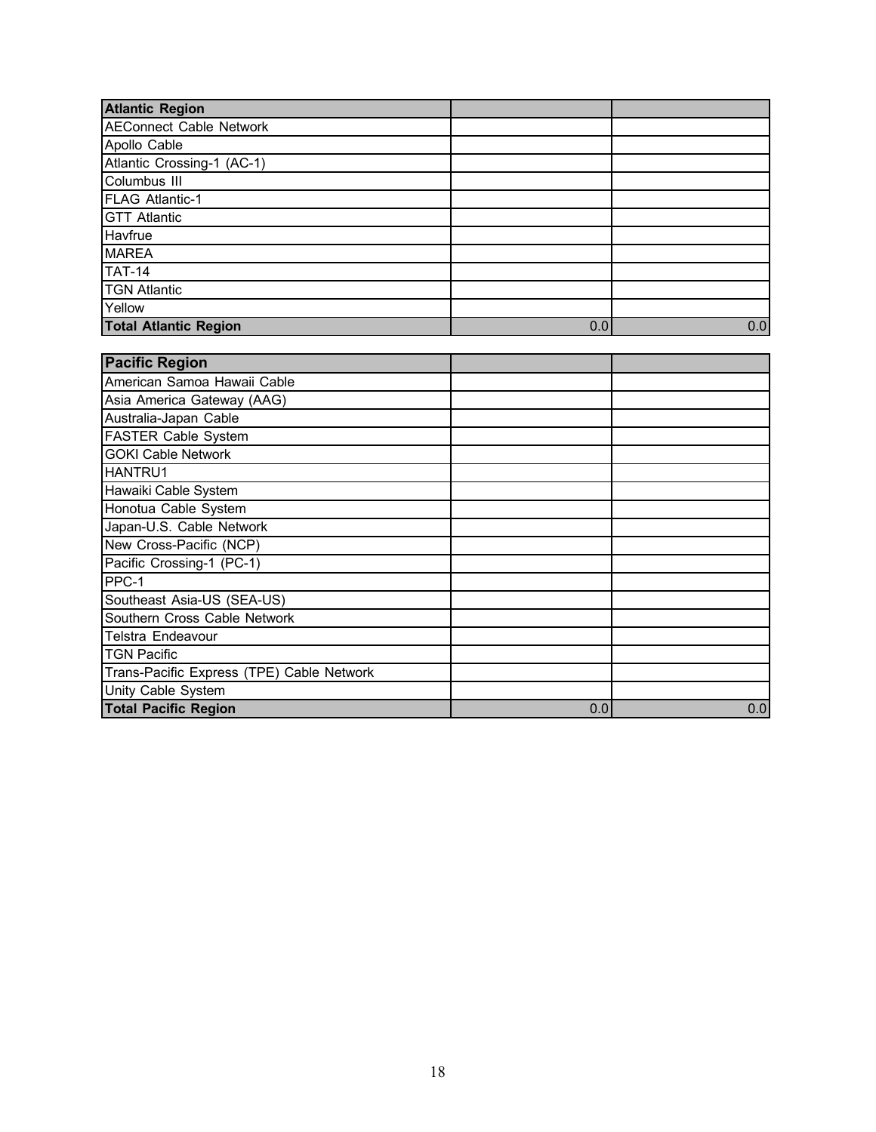| <b>Atlantic Region</b>         |     |     |
|--------------------------------|-----|-----|
| <b>AEConnect Cable Network</b> |     |     |
| Apollo Cable                   |     |     |
| Atlantic Crossing-1 (AC-1)     |     |     |
| Columbus III                   |     |     |
| <b>FLAG Atlantic-1</b>         |     |     |
| <b>GTT Atlantic</b>            |     |     |
| Havfrue                        |     |     |
| <b>MAREA</b>                   |     |     |
| <b>TAT-14</b>                  |     |     |
| <b>TGN Atlantic</b>            |     |     |
| Yellow                         |     |     |
| <b>Total Atlantic Region</b>   | 0.0 | 0.0 |

| <b>Pacific Region</b>                     |     |     |
|-------------------------------------------|-----|-----|
| American Samoa Hawaii Cable               |     |     |
| Asia America Gateway (AAG)                |     |     |
| Australia-Japan Cable                     |     |     |
| <b>FASTER Cable System</b>                |     |     |
| <b>GOKI Cable Network</b>                 |     |     |
| <b>HANTRU1</b>                            |     |     |
| Hawaiki Cable System                      |     |     |
| Honotua Cable System                      |     |     |
| Japan-U.S. Cable Network                  |     |     |
| New Cross-Pacific (NCP)                   |     |     |
| Pacific Crossing-1 (PC-1)                 |     |     |
| PPC-1                                     |     |     |
| Southeast Asia-US (SEA-US)                |     |     |
| Southern Cross Cable Network              |     |     |
| Telstra Endeavour                         |     |     |
| <b>TGN Pacific</b>                        |     |     |
| Trans-Pacific Express (TPE) Cable Network |     |     |
| Unity Cable System                        |     |     |
| <b>Total Pacific Region</b>               | 0.0 | 0.0 |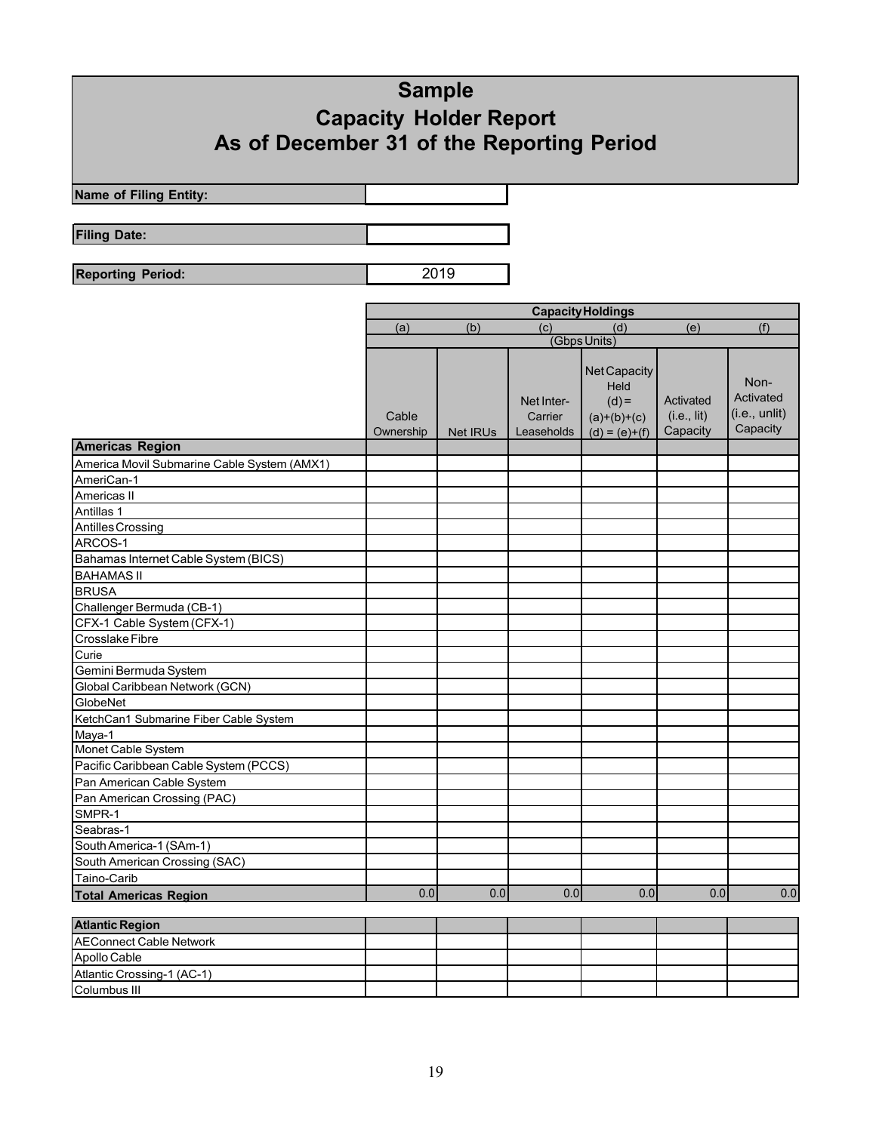# **Sample Capacity Holder Report As of December 31 of the Reporting Period**

**Name of Filing Entity:**

**Filing Date:**

**Reporting Period:** 2019

|                                             | <b>Capacity Holdings</b> |                 |                                     |                                                                     |                                      |                                                |
|---------------------------------------------|--------------------------|-----------------|-------------------------------------|---------------------------------------------------------------------|--------------------------------------|------------------------------------------------|
|                                             | (a)                      | (b)             | (c)                                 | (d)                                                                 | (e)                                  | (f)                                            |
|                                             |                          |                 |                                     | (Gbps Units)                                                        |                                      |                                                |
|                                             | Cable<br>Ownership       | <b>Net IRUs</b> | Net Inter-<br>Carrier<br>Leaseholds | Net Capacity<br>Held<br>$(d) =$<br>$(a)+(b)+(c)$<br>$(d) = (e)+(f)$ | Activated<br>(i.e., lit)<br>Capacity | Non-<br>Activated<br>(i.e., until)<br>Capacity |
| <b>Americas Region</b>                      |                          |                 |                                     |                                                                     |                                      |                                                |
| America Movil Submarine Cable System (AMX1) |                          |                 |                                     |                                                                     |                                      |                                                |
| AmeriCan-1                                  |                          |                 |                                     |                                                                     |                                      |                                                |
| Americas II                                 |                          |                 |                                     |                                                                     |                                      |                                                |
| Antillas 1                                  |                          |                 |                                     |                                                                     |                                      |                                                |
| Antilles Crossing                           |                          |                 |                                     |                                                                     |                                      |                                                |
| ARCOS-1                                     |                          |                 |                                     |                                                                     |                                      |                                                |
| Bahamas Internet Cable System (BICS)        |                          |                 |                                     |                                                                     |                                      |                                                |
| <b>BAHAMAS II</b>                           |                          |                 |                                     |                                                                     |                                      |                                                |
| <b>BRUSA</b>                                |                          |                 |                                     |                                                                     |                                      |                                                |
| Challenger Bermuda (CB-1)                   |                          |                 |                                     |                                                                     |                                      |                                                |
| CFX-1 Cable System (CFX-1)                  |                          |                 |                                     |                                                                     |                                      |                                                |
| <b>Crosslake Fibre</b>                      |                          |                 |                                     |                                                                     |                                      |                                                |
| Curie                                       |                          |                 |                                     |                                                                     |                                      |                                                |
| Gemini Bermuda System                       |                          |                 |                                     |                                                                     |                                      |                                                |
| Global Caribbean Network (GCN)              |                          |                 |                                     |                                                                     |                                      |                                                |
| GlobeNet                                    |                          |                 |                                     |                                                                     |                                      |                                                |
| KetchCan1 Submarine Fiber Cable System      |                          |                 |                                     |                                                                     |                                      |                                                |
| Maya-1                                      |                          |                 |                                     |                                                                     |                                      |                                                |
| Monet Cable System                          |                          |                 |                                     |                                                                     |                                      |                                                |
| Pacific Caribbean Cable System (PCCS)       |                          |                 |                                     |                                                                     |                                      |                                                |
| Pan American Cable System                   |                          |                 |                                     |                                                                     |                                      |                                                |
| Pan American Crossing (PAC)                 |                          |                 |                                     |                                                                     |                                      |                                                |
| SMPR-1                                      |                          |                 |                                     |                                                                     |                                      |                                                |
| Seabras-1                                   |                          |                 |                                     |                                                                     |                                      |                                                |
| South America-1 (SAm-1)                     |                          |                 |                                     |                                                                     |                                      |                                                |
| South American Crossing (SAC)               |                          |                 |                                     |                                                                     |                                      |                                                |
| Taino-Carib                                 |                          |                 |                                     |                                                                     |                                      |                                                |
| <b>Total Americas Region</b>                | 0.0                      | 0.0             | 0.0                                 | 0.0                                                                 | 0.0                                  | 0.0                                            |
| <b>Atlantic Region</b>                      |                          |                 |                                     |                                                                     |                                      |                                                |
| <b>AEConnect Cable Network</b>              |                          |                 |                                     |                                                                     |                                      |                                                |
| Apollo Cable                                |                          |                 |                                     |                                                                     |                                      |                                                |
| Atlantic Crossing-1 (AC-1)                  |                          |                 |                                     |                                                                     |                                      |                                                |
| Columbus III                                |                          |                 |                                     |                                                                     |                                      |                                                |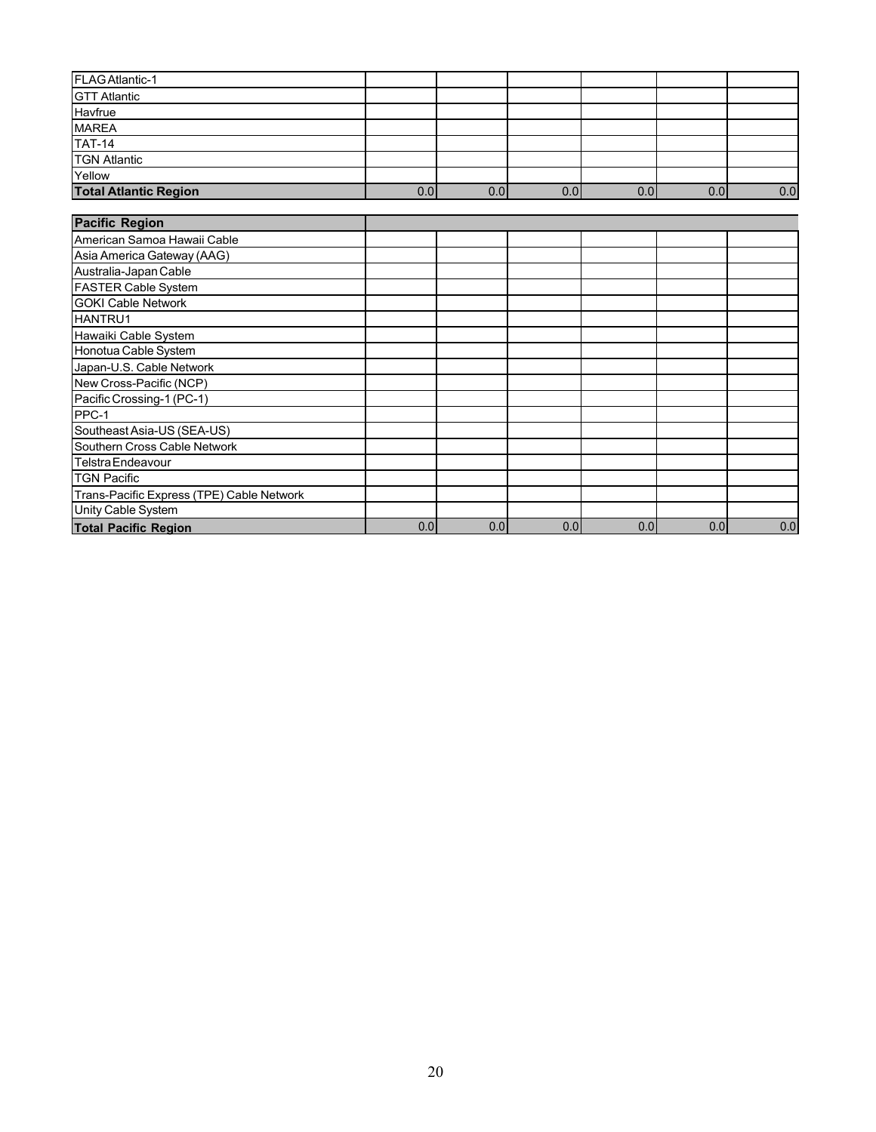| FLAGAtlantic-1                            |     |     |     |     |     |     |
|-------------------------------------------|-----|-----|-----|-----|-----|-----|
| <b>GTT Atlantic</b>                       |     |     |     |     |     |     |
| Havfrue                                   |     |     |     |     |     |     |
| MAREA                                     |     |     |     |     |     |     |
| $TAT-14$                                  |     |     |     |     |     |     |
| <b>TGN Atlantic</b>                       |     |     |     |     |     |     |
| Yellow                                    |     |     |     |     |     |     |
| <b>Total Atlantic Region</b>              | 0.0 | 0.0 | 0.0 | 0.0 | 0.0 | 0.0 |
|                                           |     |     |     |     |     |     |
| <b>Pacific Region</b>                     |     |     |     |     |     |     |
| İAmerican Samoa Hawaii Cable              |     |     |     |     |     |     |
| Asia America Gateway (AAG)                |     |     |     |     |     |     |
| Australia-Japan Cable                     |     |     |     |     |     |     |
| <b>FASTER Cable System</b>                |     |     |     |     |     |     |
| <b>GOKI Cable Network</b>                 |     |     |     |     |     |     |
| <b>HANTRU1</b>                            |     |     |     |     |     |     |
| Hawaiki Cable System                      |     |     |     |     |     |     |
| Honotua Cable System                      |     |     |     |     |     |     |
| Japan-U.S. Cable Network                  |     |     |     |     |     |     |
| New Cross-Pacific (NCP)                   |     |     |     |     |     |     |
| Pacific Crossing-1 (PC-1)                 |     |     |     |     |     |     |
| PPC-1                                     |     |     |     |     |     |     |
| Southeast Asia-US (SEA-US)                |     |     |     |     |     |     |
| Southern Cross Cable Network              |     |     |     |     |     |     |
| l Telstra Endeavour                       |     |     |     |     |     |     |
| <b>TGN Pacific</b>                        |     |     |     |     |     |     |
| Trans-Pacific Express (TPE) Cable Network |     |     |     |     |     |     |
| Unity Cable System                        |     |     |     |     |     |     |
| <b>Total Pacific Region</b>               | 0.0 | 0.0 | 0.0 | 0.0 | 0.0 | 0.0 |